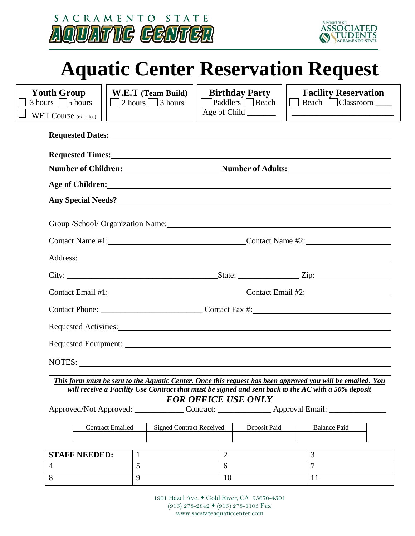



## **Aquatic Center Reservation Request**

| <b>Youth Group</b><br>$3 hours \boxed{5 hours}$                                                                                                                                                                                |                                   | <b>W.E.T</b> (Team Build)<br>$\Box$ 2 hours $\Box$ 3 hours |                            | <b>Birthday Party</b><br>Paddlers Beach | <b>Facility Reservation</b><br>Beach Classroom _____                                                                                                                                                              |  |  |  |
|--------------------------------------------------------------------------------------------------------------------------------------------------------------------------------------------------------------------------------|-----------------------------------|------------------------------------------------------------|----------------------------|-----------------------------------------|-------------------------------------------------------------------------------------------------------------------------------------------------------------------------------------------------------------------|--|--|--|
| WET Course (extra fee)                                                                                                                                                                                                         |                                   |                                                            |                            | Age of Child _______                    |                                                                                                                                                                                                                   |  |  |  |
|                                                                                                                                                                                                                                |                                   |                                                            |                            |                                         |                                                                                                                                                                                                                   |  |  |  |
| Requested Times: New York Changes and Security and Security and Security and Security and Security and Security and Security and Security and Security and Security and Security and Security and Security and Security and Se |                                   |                                                            |                            |                                         |                                                                                                                                                                                                                   |  |  |  |
| Number of Children: Number of Adults:                                                                                                                                                                                          |                                   |                                                            |                            |                                         |                                                                                                                                                                                                                   |  |  |  |
|                                                                                                                                                                                                                                |                                   |                                                            |                            |                                         | Age of Children: 1986 and 2008 and 2008 and 2008 and 2008 and 2008 and 2008 and 2008 and 2008 and 2008 and 200                                                                                                    |  |  |  |
|                                                                                                                                                                                                                                |                                   |                                                            |                            |                                         | Any Special Needs?<br><u> any Special Needs</u> ?                                                                                                                                                                 |  |  |  |
|                                                                                                                                                                                                                                |                                   |                                                            |                            |                                         |                                                                                                                                                                                                                   |  |  |  |
|                                                                                                                                                                                                                                |                                   |                                                            |                            |                                         |                                                                                                                                                                                                                   |  |  |  |
|                                                                                                                                                                                                                                | Contact Name #1: Contact Name #2: |                                                            |                            |                                         |                                                                                                                                                                                                                   |  |  |  |
|                                                                                                                                                                                                                                |                                   |                                                            |                            |                                         |                                                                                                                                                                                                                   |  |  |  |
|                                                                                                                                                                                                                                |                                   |                                                            |                            |                                         |                                                                                                                                                                                                                   |  |  |  |
|                                                                                                                                                                                                                                |                                   | Contact Email #1: Contact Email #2:                        |                            |                                         |                                                                                                                                                                                                                   |  |  |  |
|                                                                                                                                                                                                                                |                                   |                                                            |                            |                                         |                                                                                                                                                                                                                   |  |  |  |
|                                                                                                                                                                                                                                |                                   |                                                            |                            |                                         |                                                                                                                                                                                                                   |  |  |  |
|                                                                                                                                                                                                                                |                                   |                                                            |                            |                                         |                                                                                                                                                                                                                   |  |  |  |
|                                                                                                                                                                                                                                |                                   |                                                            |                            |                                         |                                                                                                                                                                                                                   |  |  |  |
|                                                                                                                                                                                                                                |                                   |                                                            |                            |                                         |                                                                                                                                                                                                                   |  |  |  |
|                                                                                                                                                                                                                                |                                   |                                                            |                            |                                         | This form must be sent to the Aquatic Center. Once this request has been approved you will be emailed. You<br>will receive a Facility Use Contract that must be signed and sent back to the AC with a 50% deposit |  |  |  |
|                                                                                                                                                                                                                                |                                   |                                                            | <b>FOR OFFICE USE ONLY</b> |                                         |                                                                                                                                                                                                                   |  |  |  |
|                                                                                                                                                                                                                                |                                   |                                                            |                            |                                         |                                                                                                                                                                                                                   |  |  |  |
| <b>Contract Emailed</b>                                                                                                                                                                                                        |                                   | <b>Signed Contract Received</b>                            |                            | Deposit Paid                            | <b>Balance Paid</b>                                                                                                                                                                                               |  |  |  |
|                                                                                                                                                                                                                                |                                   |                                                            |                            |                                         |                                                                                                                                                                                                                   |  |  |  |
| <b>STAFF NEEDED:</b>                                                                                                                                                                                                           | $\mathbf{1}$                      |                                                            |                            |                                         | 3                                                                                                                                                                                                                 |  |  |  |
| $\overline{4}$                                                                                                                                                                                                                 | 5                                 |                                                            | 6                          |                                         | $\overline{7}$                                                                                                                                                                                                    |  |  |  |
| 8                                                                                                                                                                                                                              | 9                                 |                                                            | 10                         |                                         | 11                                                                                                                                                                                                                |  |  |  |

 $(916)$  278-2842  $\blacklozenge$  (916) 278-1105 Fax www.sacstateaquaticcenter.com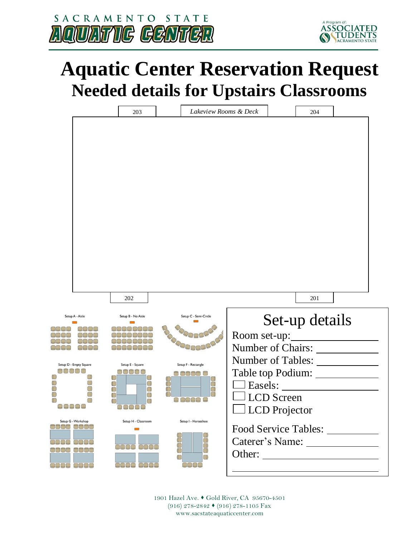



## **Aquatic Center Reservation Request Needed details for Upstairs Classrooms**